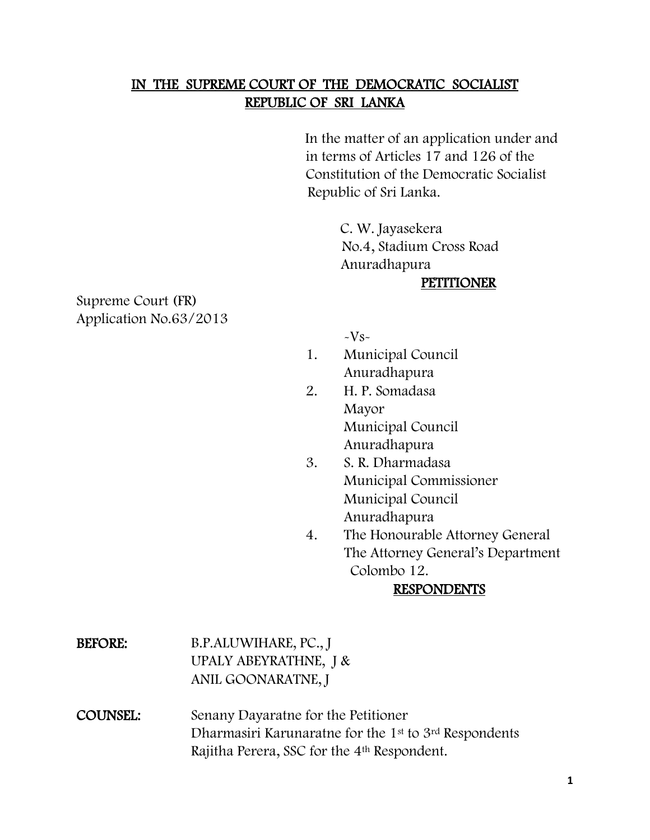### IN THE SUPREME COURT OF THE DEMOCRATIC SOCIALIST REPUBLIC OF SRI LANKA

 In the matter of an application under and in terms of Articles 17 and 126 of the Constitution of the Democratic Socialist Republic of Sri Lanka.

> C. W. Jayasekera No.4, Stadium Cross Road Anuradhapura **PETITIONER**

Supreme Court (FR) Application No.63/2013

 $-Vs-$ 

- 1. Municipal Council Anuradhapura
- 2. H. P. Somadasa Mayor Municipal Council Anuradhapura
- 3. S. R. Dharmadasa Municipal Commissioner Municipal Council Anuradhapura
- 4. The Honourable Attorney General The Attorney General's Department Colombo 12.

#### RESPONDENTS

BEFORE: B.P.ALUWIHARE, PC., J UPALY ABEYRATHNE, J & ANIL GOONARATNE, J

COUNSEL: Senany Dayaratne for the Petitioner Dharmasiri Karunaratne for the 1st to 3rd Respondents Rajitha Perera, SSC for the 4th Respondent.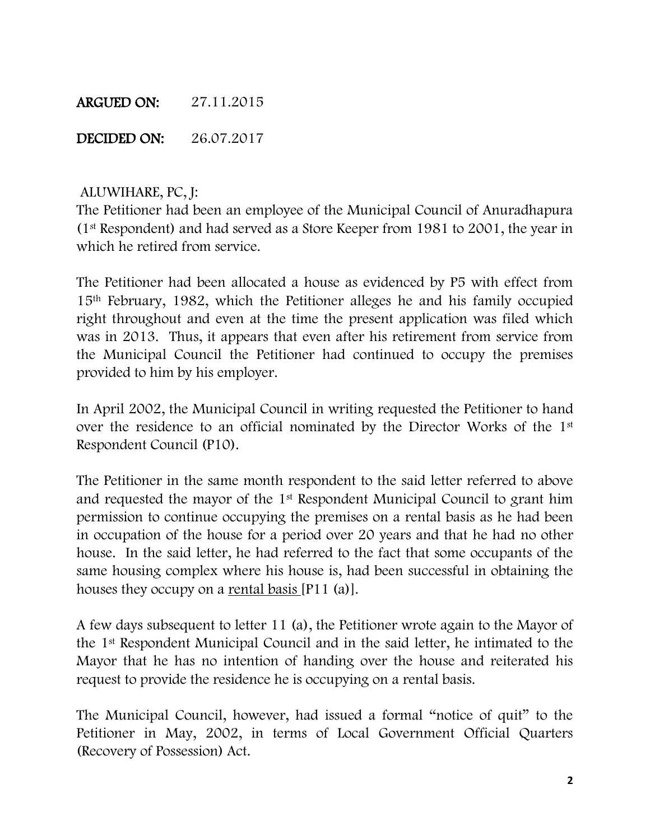#### ARGUED ON: 27.11.2015

DECIDED ON: 26.07.2017

#### ALUWIHARE, PC, J:

The Petitioner had been an employee of the Municipal Council of Anuradhapura (1st Respondent) and had served as a Store Keeper from 1981 to 2001, the year in which he retired from service.

The Petitioner had been allocated a house as evidenced by P5 with effect from 15th February, 1982, which the Petitioner alleges he and his family occupied right throughout and even at the time the present application was filed which was in 2013. Thus, it appears that even after his retirement from service from the Municipal Council the Petitioner had continued to occupy the premises provided to him by his employer.

In April 2002, the Municipal Council in writing requested the Petitioner to hand over the residence to an official nominated by the Director Works of the 1st Respondent Council (P10).

The Petitioner in the same month respondent to the said letter referred to above and requested the mayor of the 1st Respondent Municipal Council to grant him permission to continue occupying the premises on a rental basis as he had been in occupation of the house for a period over 20 years and that he had no other house. In the said letter, he had referred to the fact that some occupants of the same housing complex where his house is, had been successful in obtaining the houses they occupy on a rental basis [P11 (a)].

A few days subsequent to letter 11 (a), the Petitioner wrote again to the Mayor of the 1st Respondent Municipal Council and in the said letter, he intimated to the Mayor that he has no intention of handing over the house and reiterated his request to provide the residence he is occupying on a rental basis.

The Municipal Council, however, had issued a formal "notice of quit" to the Petitioner in May, 2002, in terms of Local Government Official Quarters (Recovery of Possession) Act.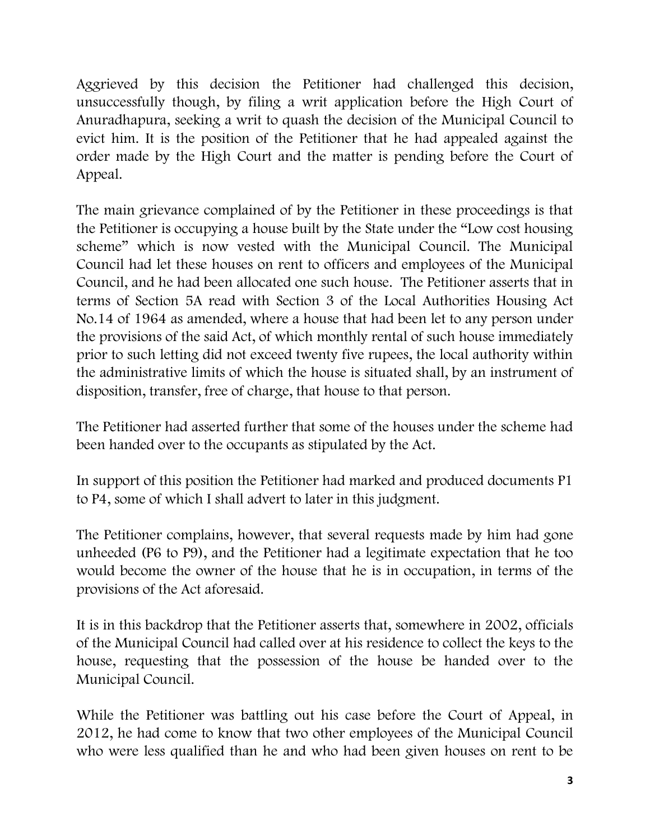Aggrieved by this decision the Petitioner had challenged this decision, unsuccessfully though, by filing a writ application before the High Court of Anuradhapura, seeking a writ to quash the decision of the Municipal Council to evict him. It is the position of the Petitioner that he had appealed against the order made by the High Court and the matter is pending before the Court of Appeal.

The main grievance complained of by the Petitioner in these proceedings is that the Petitioner is occupying a house built by the State under the "Low cost housing scheme" which is now vested with the Municipal Council. The Municipal Council had let these houses on rent to officers and employees of the Municipal Council, and he had been allocated one such house. The Petitioner asserts that in terms of Section 5A read with Section 3 of the Local Authorities Housing Act No.14 of 1964 as amended, where a house that had been let to any person under the provisions of the said Act, of which monthly rental of such house immediately prior to such letting did not exceed twenty five rupees, the local authority within the administrative limits of which the house is situated shall, by an instrument of disposition, transfer, free of charge, that house to that person.

The Petitioner had asserted further that some of the houses under the scheme had been handed over to the occupants as stipulated by the Act.

In support of this position the Petitioner had marked and produced documents P1 to P4, some of which I shall advert to later in this judgment.

The Petitioner complains, however, that several requests made by him had gone unheeded (P6 to P9), and the Petitioner had a legitimate expectation that he too would become the owner of the house that he is in occupation, in terms of the provisions of the Act aforesaid.

It is in this backdrop that the Petitioner asserts that, somewhere in 2002, officials of the Municipal Council had called over at his residence to collect the keys to the house, requesting that the possession of the house be handed over to the Municipal Council.

While the Petitioner was battling out his case before the Court of Appeal, in 2012, he had come to know that two other employees of the Municipal Council who were less qualified than he and who had been given houses on rent to be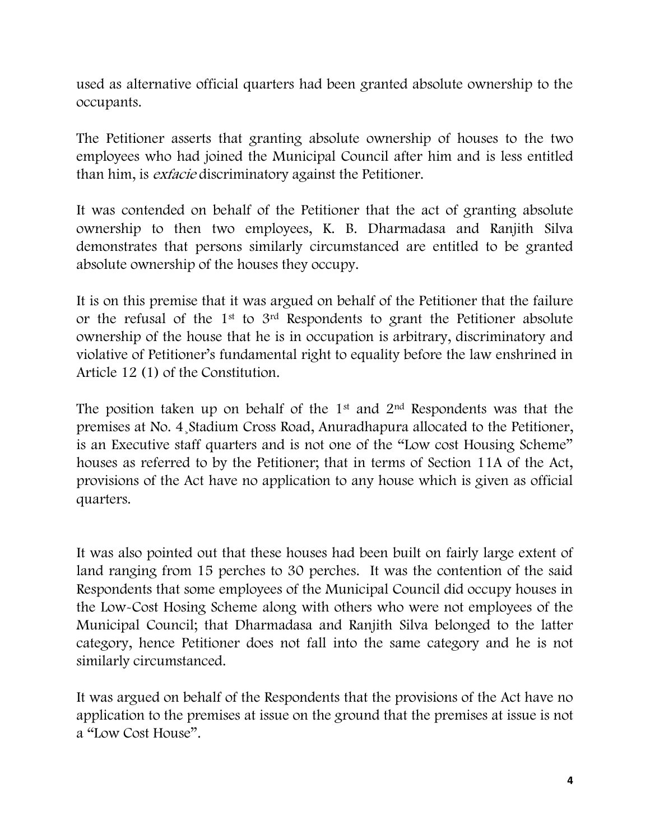used as alternative official quarters had been granted absolute ownership to the occupants.

The Petitioner asserts that granting absolute ownership of houses to the two employees who had joined the Municipal Council after him and is less entitled than him, is *exfacie* discriminatory against the Petitioner.

It was contended on behalf of the Petitioner that the act of granting absolute ownership to then two employees, K. B. Dharmadasa and Ranjith Silva demonstrates that persons similarly circumstanced are entitled to be granted absolute ownership of the houses they occupy.

It is on this premise that it was argued on behalf of the Petitioner that the failure or the refusal of the 1st to 3rd Respondents to grant the Petitioner absolute ownership of the house that he is in occupation is arbitrary, discriminatory and violative of Petitioner's fundamental right to equality before the law enshrined in Article 12 (1) of the Constitution.

The position taken up on behalf of the  $1<sup>st</sup>$  and  $2<sup>nd</sup>$  Respondents was that the premises at No. 4¸Stadium Cross Road, Anuradhapura allocated to the Petitioner, is an Executive staff quarters and is not one of the "Low cost Housing Scheme" houses as referred to by the Petitioner; that in terms of Section 11A of the Act, provisions of the Act have no application to any house which is given as official quarters.

It was also pointed out that these houses had been built on fairly large extent of land ranging from 15 perches to 30 perches. It was the contention of the said Respondents that some employees of the Municipal Council did occupy houses in the Low-Cost Hosing Scheme along with others who were not employees of the Municipal Council; that Dharmadasa and Ranjith Silva belonged to the latter category, hence Petitioner does not fall into the same category and he is not similarly circumstanced.

It was argued on behalf of the Respondents that the provisions of the Act have no application to the premises at issue on the ground that the premises at issue is not a "Low Cost House".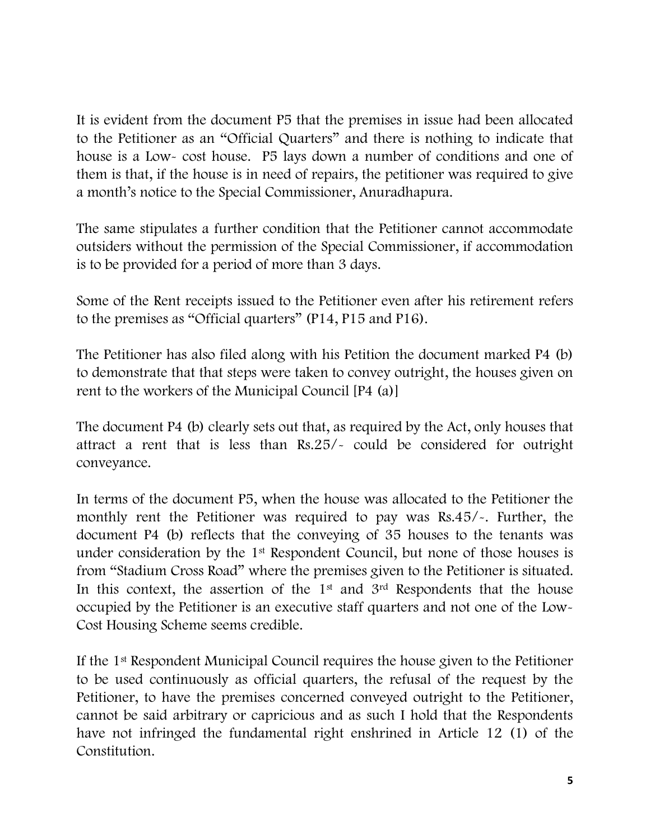It is evident from the document P5 that the premises in issue had been allocated to the Petitioner as an "Official Quarters" and there is nothing to indicate that house is a Low- cost house. P5 lays down a number of conditions and one of them is that, if the house is in need of repairs, the petitioner was required to give a month's notice to the Special Commissioner, Anuradhapura.

The same stipulates a further condition that the Petitioner cannot accommodate outsiders without the permission of the Special Commissioner, if accommodation is to be provided for a period of more than 3 days.

Some of the Rent receipts issued to the Petitioner even after his retirement refers to the premises as "Official quarters" (P14, P15 and P16).

The Petitioner has also filed along with his Petition the document marked P4 (b) to demonstrate that that steps were taken to convey outright, the houses given on rent to the workers of the Municipal Council [P4 (a)]

The document P4 (b) clearly sets out that, as required by the Act, only houses that attract a rent that is less than Rs.25/- could be considered for outright conveyance.

In terms of the document P5, when the house was allocated to the Petitioner the monthly rent the Petitioner was required to pay was Rs.45/-. Further, the document P4 (b) reflects that the conveying of 35 houses to the tenants was under consideration by the 1<sup>st</sup> Respondent Council, but none of those houses is from "Stadium Cross Road" where the premises given to the Petitioner is situated. In this context, the assertion of the  $1<sup>st</sup>$  and  $3<sup>rd</sup>$  Respondents that the house occupied by the Petitioner is an executive staff quarters and not one of the Low-Cost Housing Scheme seems credible.

If the 1st Respondent Municipal Council requires the house given to the Petitioner to be used continuously as official quarters, the refusal of the request by the Petitioner, to have the premises concerned conveyed outright to the Petitioner, cannot be said arbitrary or capricious and as such I hold that the Respondents have not infringed the fundamental right enshrined in Article 12 (1) of the Constitution.